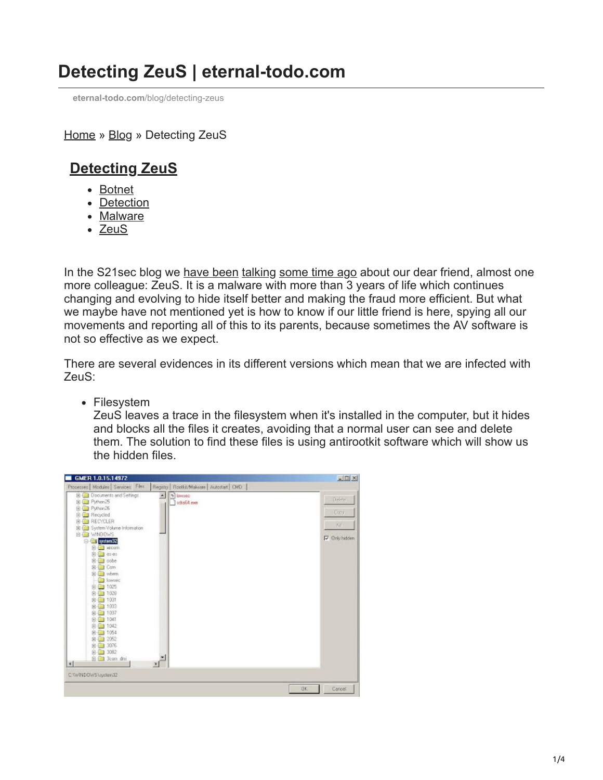## **Detecting ZeuS | eternal-todo.com**

**eternal-todo.com**[/blog/detecting-zeus](http://eternal-todo.com/blog/detecting-zeus)

[Home](http://eternal-todo.com/) » [Blog](http://eternal-todo.com/blog) » Detecting ZeuS

## **[Detecting ZeuS](http://eternal-todo.com/blog/detecting-zeus)**

- [Botnet](http://eternal-todo.com/category/botnet)
- [Detection](http://eternal-todo.com/category/detection)
- [Malware](http://eternal-todo.com/category/malware)
- [ZeuS](http://eternal-todo.com/category/zeus)

In the S21sec blog we [have been](http://blog.s21sec.com/2009/05/re-deuda-pendiente.html) [talking](http://securityblog.s21sec.com/2009/04/when-bot-master-goes-mad-kill-os.html) [some time ago](http://blog.s21sec.com/2009/01/nuevas-muestras-de-zeus.html) about our dear friend, almost one more colleague: ZeuS. It is a malware with more than 3 years of life which continues changing and evolving to hide itself better and making the fraud more efficient. But what we maybe have not mentioned yet is how to know if our little friend is here, spying all our movements and reporting all of this to its parents, because sometimes the AV software is not so effective as we expect.

There are several evidences in its different versions which mean that we are infected with ZeuS:

• Filesystem

ZeuS leaves a trace in the filesystem when it's installed in the computer, but it hides and blocks all the files it creates, avoiding that a normal user can see and delete them. The solution to find these files is using antirootkit software which will show us the hidden files.

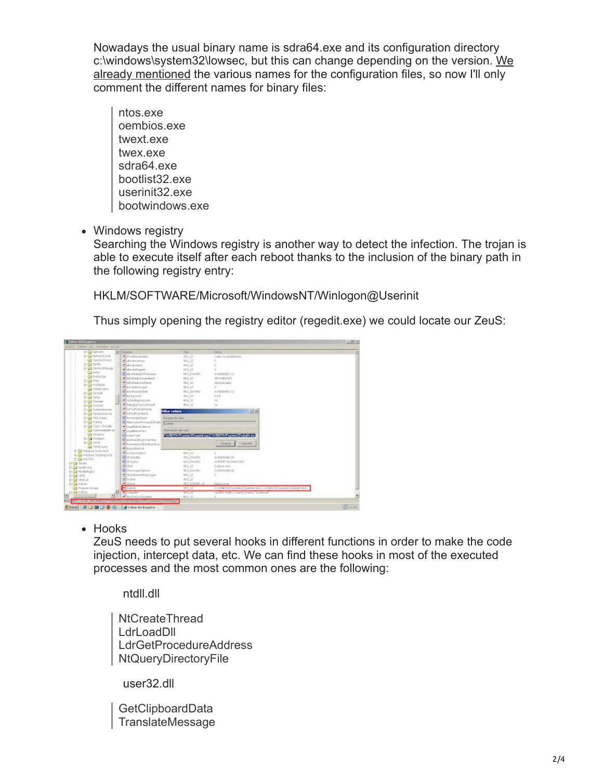Nowadays the usual binary name is sdra64.exe and its configuration directory [c:\windows\system32\lowsec, but this can change depending on the version. We](http://blog.s21sec.com/2009/01/nuevas-muestras-de-zeus.html) already mentioned the various names for the configuration files, so now I'll only comment the different names for binary files:

- ntos.exe oembios.exe twext.exe twex.exe sdra64.exe bootlist32.exe userinit32.exe bootwindows.exe
- Windows registry

Searching the Windows registry is another way to detect the infection. The trojan is able to execute itself after each reboot thanks to the inclusion of the binary path in the following registry entry:

HKLM/SOFTWARE/Microsoft/WindowsNT/Winlogon@Userinit

Thus simply opening the registry editor (regedit.exe) we could locate our ZeuS:

| <b>20 Edit Aleksand</b><br>XI Florida   |                                                     | Teo.                   | Durch!                                                                         |  |
|-----------------------------------------|-----------------------------------------------------|------------------------|--------------------------------------------------------------------------------|--|
| SI Carrierica Cardo                     | <b>Michaelannachi</b>                               | 105.52                 | Exploration on relaxation                                                      |  |
| Cordinas                                | <b>Malcotrofino</b>                                 | 165,52                 |                                                                                |  |
| 31 Gall Partida                         | <b>Malecutedad</b>                                  | <b>MG 52</b>           |                                                                                |  |
| C. C. Partfolio Phonese                 | Wiskundelingen.                                     | R05.52                 | o.                                                                             |  |
| <b>Call Ports</b>                       | <b>El ulcoviciole Ullevaion</b>                     | REG. EVOND             | 0-20000000 00                                                                  |  |
| <b>Call Profession</b>                  | Winter who informantly work                         | R01,12                 | WHATCHING                                                                      |  |
| 30 Ellis Print                          | <b>William A. Hardbridge</b>                        | 103,52                 | Adventurator                                                                   |  |
| St Car multiscut                        | <b>Mazzages</b> ban                                 | RDG 32                 | $\alpha$                                                                       |  |
| and coluted desc                        | <b>REALIBURNER</b>                                  | RIG EVONS              | 0.00000001455                                                                  |  |
| 20 日 10 次度                              | <b>Milliar Advised</b>                              | RIG.32                 | 0.21                                                                           |  |
| Si Lis Setup                            | <b>REstrictions</b>                                 | RDG 52                 | 12                                                                             |  |
| 21 Gill Sixoner                         | <b>Reductorva Comment</b>                           | R05.52                 | $-0.05$                                                                        |  |
| Si Ca System                            | #Dafaultionarhiune                                  |                        |                                                                                |  |
| D El Sylmileton                         | <b>Will of sulf Just Serre</b>                      | <b>Odkar cadena</b>    | <b>IKIT</b>                                                                    |  |
| 81 a Temporatorio<br>10 Elli Time Sones | <b>ED</b> Arrounkollogin                            |                        |                                                                                |  |
| 81 East Track of                        |                                                     | <b>Nondre de voiro</b> |                                                                                |  |
| 5) Type 1 Initiator                     | Historydericountries David                          |                        |                                                                                |  |
| <b>Gill Universitation del</b>          | <b>WingsFisherCarine</b><br><b>Witness Galaxier</b> | Information and value  |                                                                                |  |
| <b>Call Vitables</b>                    |                                                     |                        |                                                                                |  |
| D Cal Vinkon                            | EL construc-                                        |                        | MARKO ANTERNATIONER MARKO ANTERNATIONER                                        |  |
| <b>SI GM VIOW</b>                       | <b>El exercicio de salvesariano</b>                 |                        | <b>Earcelly</b><br>AGAIN'S                                                     |  |
| - Bill VIRAEvents                       | <b>All Pureau Sound Bartha Library</b>              |                        |                                                                                |  |
| S-C Waller Jost Red.                    | <b>RETAILED TOOLOGIC</b>                            |                        |                                                                                |  |
| R-Ball Windows Scripture/Host           | <b>Registration</b>                                 | RDG 52                 | $\frac{1}{2}$                                                                  |  |
| 8 E vento                               | <b>ALCOHOL</b>                                      | <b>ROG ENFORD</b>      | 0x30000000030                                                                  |  |
| SI Call Pools                           | <b>All Shockship</b>                                | ROS ENFORD             | DARWIN' (4294067240)                                                           |  |
| D (a) reals are.                        | <b>Without</b>                                      | 465.52                 | Explorer acia                                                                  |  |
| <b>21 Call Picallarfugini</b>           | <b>RE</b> Chandings (Options)                       | RSG_EW0RD              | 0/3000000030                                                                   |  |
| EL 0000                                 | Michaedswridtebukingsn                              | R65.52                 | $\alpha$                                                                       |  |
| 80 OVACAL                               | <b>M</b> System                                     | 105,52                 |                                                                                |  |
| a,<br>Si Cità Policieri                 | Désai                                               | the EINAD ST           | <b>Ingration</b>                                                               |  |
| <b>Co</b> Program Groups                | <b>C</b> ionna                                      | NG IZ                  | CONTADOVER you want IT support us as it is the DISO/WE system (Chalock Action, |  |
| SIGN Primary                            | <b><i><u>Sulpate</u></i></b>                        | 100,12                 | sening deltroperat Pardia Systemat                                             |  |
|                                         | <b>Missuit elsectiveles!</b>                        | 801.57                 |                                                                                |  |

• Hooks

ZeuS needs to put several hooks in different functions in order to make the code injection, intercept data, etc. We can find these hooks in most of the executed processes and the most common ones are the following:

ntdll.dll

NtCreateThread **LdrLoadDll** LdrGetProcedureAddress NtQueryDirectoryFile

user32.dll

GetClipboardData TranslateMessage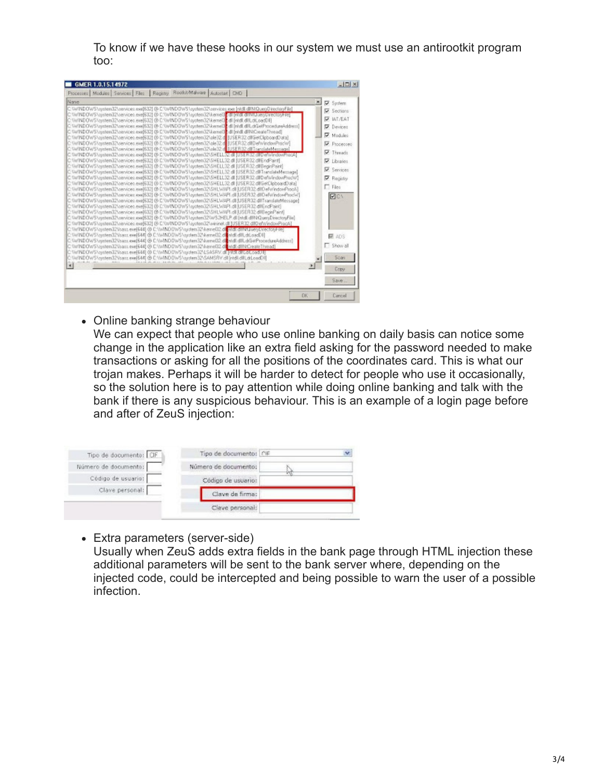To know if we have these hooks in our system we must use an antirootkit program too:

| GMER 1.0.15.14972                                                                                                                                                                                                                                                                                                                                                                                                                                                                                                                                                                                                                                                                                                                                                                                                                                                                                                                                                                                                                                                                                                                                                                                                                                                                                                                                                                                                                                                                                                                                                                                                                                                                                                                                                                                                                                                                                                                                                                                                                                                                                                                                                                                                                                                                                                                                                                                                               | $-101 \times$                                                                                                                                                                           |
|---------------------------------------------------------------------------------------------------------------------------------------------------------------------------------------------------------------------------------------------------------------------------------------------------------------------------------------------------------------------------------------------------------------------------------------------------------------------------------------------------------------------------------------------------------------------------------------------------------------------------------------------------------------------------------------------------------------------------------------------------------------------------------------------------------------------------------------------------------------------------------------------------------------------------------------------------------------------------------------------------------------------------------------------------------------------------------------------------------------------------------------------------------------------------------------------------------------------------------------------------------------------------------------------------------------------------------------------------------------------------------------------------------------------------------------------------------------------------------------------------------------------------------------------------------------------------------------------------------------------------------------------------------------------------------------------------------------------------------------------------------------------------------------------------------------------------------------------------------------------------------------------------------------------------------------------------------------------------------------------------------------------------------------------------------------------------------------------------------------------------------------------------------------------------------------------------------------------------------------------------------------------------------------------------------------------------------------------------------------------------------------------------------------------------------|-----------------------------------------------------------------------------------------------------------------------------------------------------------------------------------------|
| Processes Modules Services Files Registry Roofol/Malware Autostat DVD<br>×<br>Nane<br>C/W/NDOWS/aystem32\services.exe[632] @ C/W/NDOWS/aystem32\services.exe [rtdl dll NQuerjOirectoryFile]<br>C/W/INDOWSVaystem32Vaervices.exe(632) @ C/W/INDOWSVaystem32Vaernet3 cdl Intol.dilht0.taes/UnectoryFiel<br>C: \\v\INDOWS\system32\services.exe(632) @ C:\\v1NDOWS\system32\kemeI3 <mark>2</mark> dll [ntdll dlll_dll_oadDll]<br>C:\\v/INDOWS\system32\services.exe 632 @C:\\v1NDOWS\system32\kernel3 <mark>*</mark> dl [ntdl dll.drGelfhocedureAddress]<br>[C/W/NDOWS/usutem32\pervices.exe[632] @ C/W/NDOWS/usutem32\keme(3 <mark>2.dl [ridl dllNfCreateThread]</mark><br>C: \\v/INDOWS\aystem32\renvices.exe(632) @ C:\\v/INDOWS\system32\ole32.d <mark>l</mark> [USER32.dll/SetClipboardData]<br>C: \\v/INDOWS\sustem32\services.exel6321@ C:\\v1ND0WS\sustem32\ole32.d IUSER32.dll/Def\v/indowProcW1<br>C \WINDOWS\xxxtem32\xervicex.exe(632) @ C \WINDOWS\xxxtem32\xle32.dl [IJSER32.dll TranslateMexxage]<br>C/W/NDOWS/ayatem32\pervices.exe(632) @ C/W/NDOWS/ayatem32\5HELL32.dl [USER32.dllDefWindowProcA]<br>C: \\v/INDOWS\aystem32\services.exel6321@ C:\\v/INDOWS\system32\SHELL32.dll [USER32.dllEndPaint]<br>C: \\v/INDOWS\vsystem32\vervices.exel6321@ C:\\v1NDOWS\system32\SHELL32.dll  USER32.dllBeginPaint <br>C \\v\INDOWS\toxt9em32\zervicex.exe(632) @ C \\v\INDOWS\zystem32\SHELL32.dll [USER32.dll TrandiateMexxage]<br>C:\\v/INDOWS\system32\services.exe[632] @ C:\\v1NDOWS\system32\SHELL32.dl [USER32.dllDef\v/indowProc\v1]<br>C: \\v/INDOWS\gystem32\services.exel6321@ C:\\v/INDOWS\system32\SHELL32.dl IUSER32.dll/GeCloboardDatal<br>C:\\v\INDOWS\system32\services.exe(632) @ C:\\v1NDOWS\system32\SHL\v\NPI.dll [USER32.dllDefv/indoxProcA]<br>C: W/INDOWS\apptem32\pervicea: exe(632) @ C:\WINDOWS\pyatem32\SHL\WAPI.dll (USER32 dIIDefWindowProck/)<br>C: \\v/INDOWS\sxstem32\services.exel6321@ C:\\v/INDOWS\sxstem32\SHL\v/API.dlI.IUSER32.dllTranslateMessage1<br>C: Yiv/INDOWS Vaystem32Vaervices.exe(632) @ C: YWINDOWS Vsystem32VSHLV/API.dll IUSER32 dIfEndPaint)<br>C:\\v/INDOWS\xxstem32\xenvices.exel6321@C:\\v/INDOWS\xxstem32\SHL\v/IVPI.dlIUSER32.dll@ecinPaint[<br>C \WINDOWS\xxstem32\pervices.exe(632) @ C \WINDOWS\system32\WS2HELP.dl [ntdl.dllNK]ueryDirectos/File]<br>C/W/INDOWSVaystem32Vaervices.exel5321 @ C/W/INDOWSVaystem32Vwirinet.dll JUSER 32 dll/DefWindowProcA1 | <b>V</b> System<br><b>V</b> Sections<br><b>V IAT/EAT</b><br><b>V</b> Devices<br>V Modules<br>Phocesses<br>Threads<br>V Libraties<br>Services<br><b>V</b> Registry<br>$\Box$ Files<br>図の |
| C: \\v/INDOWS\system32\lsass.exe(644)@ C:\\v1NDOWS\system32\keme(32.dll ntdll.dill*HUueryDirector/Filer<br>C: \\v\INDO\v\S\system32\/sass.exe(644) @ C:\\\ANDD\v\S\system32\kemel32.di[mdil.dlil.dlil.ab1.oadDil]<br>C \\v/INDOWS\xxxten\32\lsacx.exx(644)@ C \\v/INDOWS\xxxten\32\JorneB2.dli[ntdl dllLdrGe/ProcedureAddress]<br>C \\v/INDOWS\/system32\lsass.exe[644] @ C.\\v/INDOWS\system32\Jeme[32.dlin/dll.dllNfCreateThread]<br>C: W/INDOWS varitem32Visess.exe(644) @ C: W/INDOWS \system32\LSASRV.dl   Mdl.dlLdtLoadUE<br>C: \\v/INDOwS\system32\lsass.exe(644) @ C:\\v/INDOWS\system32\SAMSRV.dll.jndll.dlLdLoedDll<br>H<br>$\cdot$                                                                                                                                                                                                                                                                                                                                                                                                                                                                                                                                                                                                                                                                                                                                                                                                                                                                                                                                                                                                                                                                                                                                                                                                                                                                                                                                                                                                                                                                                                                                                                                                                                                                                                                                                                                   | 740s<br><b>F</b> Show all<br>Scan                                                                                                                                                       |
| DK.                                                                                                                                                                                                                                                                                                                                                                                                                                                                                                                                                                                                                                                                                                                                                                                                                                                                                                                                                                                                                                                                                                                                                                                                                                                                                                                                                                                                                                                                                                                                                                                                                                                                                                                                                                                                                                                                                                                                                                                                                                                                                                                                                                                                                                                                                                                                                                                                                             | Copy<br>Save.<br>Cancel                                                                                                                                                                 |

• Online banking strange behaviour

We can expect that people who use online banking on daily basis can notice some change in the application like an extra field asking for the password needed to make transactions or asking for all the positions of the coordinates card. This is what our trojan makes. Perhaps it will be harder to detect for people who use it occasionally, so the solution here is to pay attention while doing online banking and talk with the bank if there is any suspicious behaviour. This is an example of a login page before and after of ZeuS injection:

| Tipo de documento: CIF | Tipo de documento: CIF |  |
|------------------------|------------------------|--|
| Número de documento:   | Número de documento:   |  |
| Código de usuario:     | Código de usuario:     |  |
| Clave personal:        | Clave de firma:        |  |
|                        | Clave personal:        |  |

Extra parameters (server-side)

Usually when ZeuS adds extra fields in the bank page through HTML injection these additional parameters will be sent to the bank server where, depending on the injected code, could be intercepted and being possible to warn the user of a possible infection.